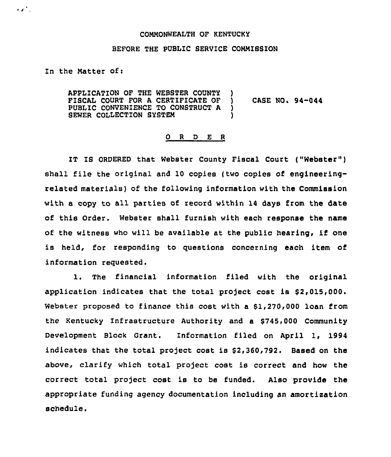## COMMONWEALTH OF KENTUCKY

## BEFORE THE PUBLIC SERVICE COMMISSION

In the Matter of:

 $\mathcal{L}(\mathcal{L})$ 

APPLICATION OF THE WEBSTER COUNTY FISCAL COURT FOR A CERTIFICATE OF PUBLIC CONVENIENCE TO CONSTRUCT A SEWER COLLECTION SYBTEN  $\mathbf{I}$ ) CASE NO. 94-044 ) )

## 0 <sup>R</sup> <sup>D</sup> E <sup>R</sup>

IT IS ORDERED that Webster County Fiscal Court ("Webster") shall file the original and 10 copies (two copies of engineeringrelated materials) of the following information with the Commission with a copy to all parties of record within 14 days from the date of this Order. Webster shall furnish with each response the name of the witness who will be available at the public hearing, if one is held, for responding to questions concerning each item of information requested.

1. The financial information filed with the original application indicates that the total project cost is \$2,015,000. Webster proposed to finance this cost with a \$1,270,000 loan from the Kentucky infrastructure Authority and a \$745,000 Community Development Block Grant. Information filed on April 1, 1994 indicates that the total project cost is \$2,360,792. Based on the above, clarify which total project cost is correct and how the correct total project cost is to be funded. Also provide the appropriate funding agency documentation including an amortisation schedule.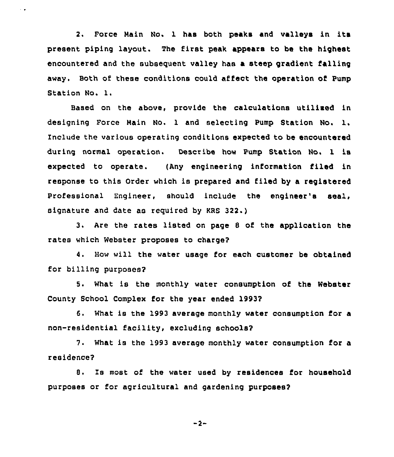2. Force Main No. 1 has both peaks and valleys in its present piping layout. The first peak appears to be the highest encountered and the subsequent valley has a steep gradient falling away. Both of these conditions could affect the operation of Pump Station No. l.

 $\sim$   $\bullet$ 

Baaed on the above, provide the calculations utilised in designing Force Main No. <sup>1</sup> and selecting Pump Station No. l. Include the various operating conditions expected to be encountered during normal operation. Describe how Pump Station No. 1 is expected to operate. (Any engineering information filed in response to this Order which is prepared and filed by a registered Professional Engineer, should include the engineer's seal, signature and date as requirad by KRS 322.)

3. Are the rates listed on page <sup>8</sup> of the application the rates which Webster proposes to charge?

4. How will the water usage for each customer be obtained for billing purposes?

5. What is the monthly water consumption of the Webster County School Complex for the year ended 1993?

6. What is the 1993 average monthly water consumption for a non-residential facility, excluding schools?

7. What is the 1993 average monthly water consumption for a residence?

8. Is most of the water used by residences for household purposes or for agricultural and gardening purposes?

$$
-2 -
$$